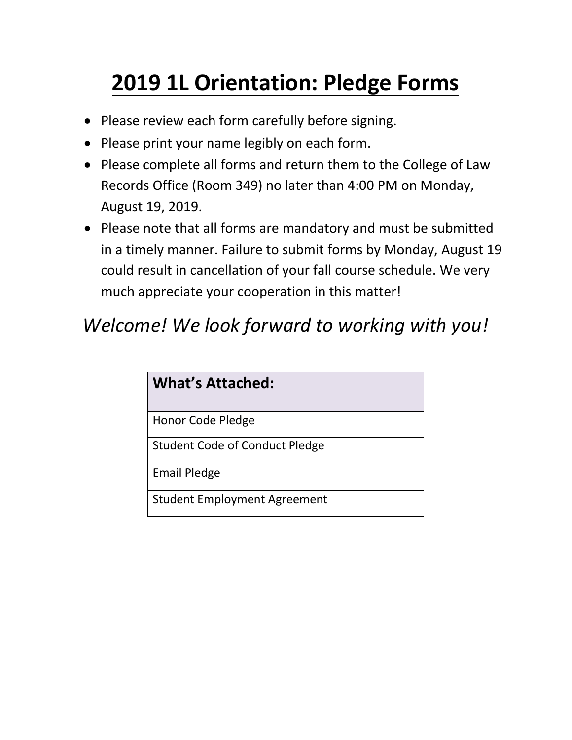# **2019 1L Orientation: Pledge Forms**

- Please review each form carefully before signing.
- Please print your name legibly on each form.
- Please complete all forms and return them to the College of Law Records Office (Room 349) no later than 4:00 PM on Monday, August 19, 2019.
- Please note that all forms are mandatory and must be submitted in a timely manner. Failure to submit forms by Monday, August 19 could result in cancellation of your fall course schedule. We very much appreciate your cooperation in this matter!

## *Welcome! We look forward to working with you!*

| <b>What's Attached:</b>             |
|-------------------------------------|
| Honor Code Pledge                   |
| Student Code of Conduct Pledge      |
| <b>Email Pledge</b>                 |
| <b>Student Employment Agreement</b> |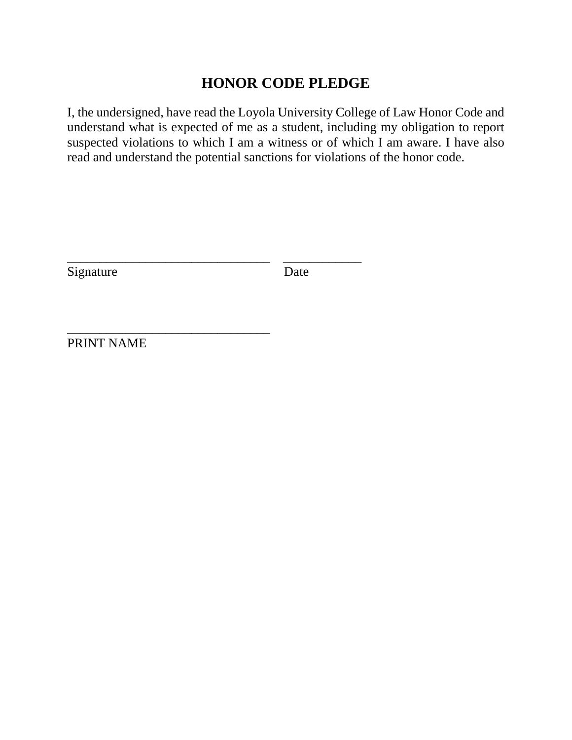## **HONOR CODE PLEDGE**

I, the undersigned, have read the Loyola University College of Law Honor Code and understand what is expected of me as a student, including my obligation to report suspected violations to which I am a witness or of which I am aware. I have also read and understand the potential sanctions for violations of the honor code.

Signature Date

\_\_\_\_\_\_\_\_\_\_\_\_\_\_\_\_\_\_\_\_\_\_\_\_\_\_\_\_\_\_\_ \_\_\_\_\_\_\_\_\_\_\_\_

\_\_\_\_\_\_\_\_\_\_\_\_\_\_\_\_\_\_\_\_\_\_\_\_\_\_\_\_\_\_\_

PRINT NAME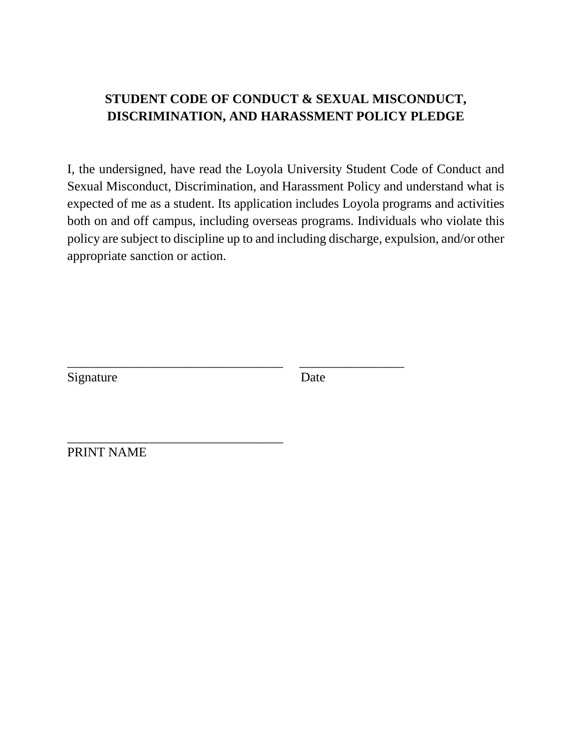#### **STUDENT CODE OF CONDUCT & SEXUAL MISCONDUCT, DISCRIMINATION, AND HARASSMENT POLICY PLEDGE**

I, the undersigned, have read the Loyola University Student Code of Conduct and Sexual Misconduct, Discrimination, and Harassment Policy and understand what is expected of me as a student. Its application includes Loyola programs and activities both on and off campus, including overseas programs. Individuals who violate this policy are subject to discipline up to and including discharge, expulsion, and/or other appropriate sanction or action.

Signature Date

\_\_\_\_\_\_\_\_\_\_\_\_\_\_\_\_\_\_\_\_\_\_\_\_\_\_\_\_\_\_\_\_\_ \_\_\_\_\_\_\_\_\_\_\_\_\_\_\_\_

PRINT NAME

\_\_\_\_\_\_\_\_\_\_\_\_\_\_\_\_\_\_\_\_\_\_\_\_\_\_\_\_\_\_\_\_\_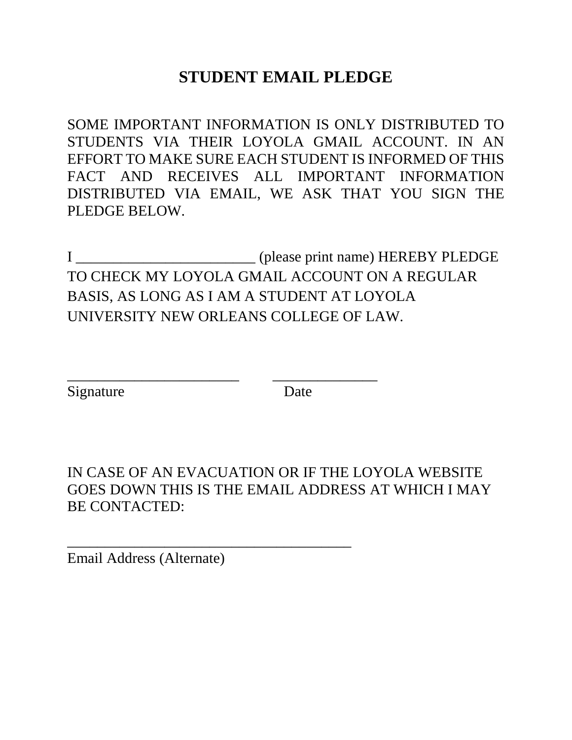## **STUDENT EMAIL PLEDGE**

SOME IMPORTANT INFORMATION IS ONLY DISTRIBUTED TO STUDENTS VIA THEIR LOYOLA GMAIL ACCOUNT. IN AN EFFORT TO MAKE SURE EACH STUDENT IS INFORMED OF THIS FACT AND RECEIVES ALL IMPORTANT INFORMATION DISTRIBUTED VIA EMAIL, WE ASK THAT YOU SIGN THE PLEDGE BELOW.

I \_\_\_\_\_\_\_\_\_\_\_\_\_\_\_\_\_\_\_\_\_\_\_\_ (please print name) HEREBY PLEDGE TO CHECK MY LOYOLA GMAIL ACCOUNT ON A REGULAR BASIS, AS LONG AS I AM A STUDENT AT LOYOLA UNIVERSITY NEW ORLEANS COLLEGE OF LAW.

\_\_\_\_\_\_\_\_\_\_\_\_\_\_\_\_\_\_\_\_\_\_\_ \_\_\_\_\_\_\_\_\_\_\_\_\_\_

\_\_\_\_\_\_\_\_\_\_\_\_\_\_\_\_\_\_\_\_\_\_\_\_\_\_\_\_\_\_\_\_\_\_\_\_\_\_

Signature Date

IN CASE OF AN EVACUATION OR IF THE LOYOLA WEBSITE GOES DOWN THIS IS THE EMAIL ADDRESS AT WHICH I MAY BE CONTACTED:

Email Address (Alternate)